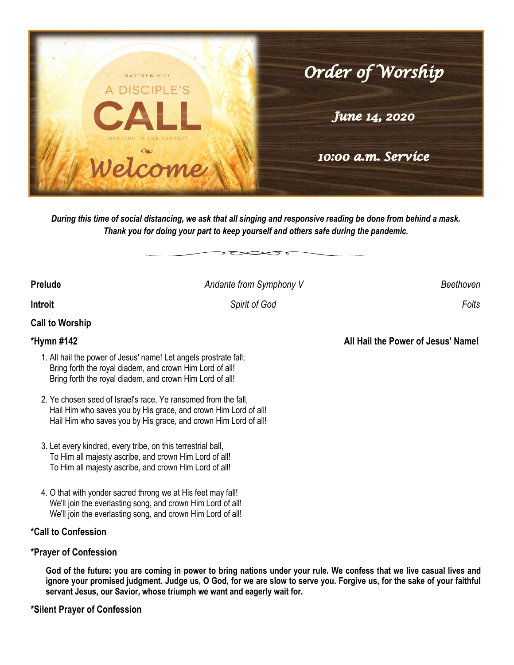

*During this time of social distancing, we ask that all singing and responsive reading be done from behind a mask. Thank you for doing your part to keep yourself and others safe during the pandemic.*

**Prelude** *Andante from Symphony V Beethoven*

**Introit** *Spirit of God Folts* 

# **Call to Worship**

### **\*Hymn #142 All Hail the Power of Jesus' Name!**

- 1. All hail the power of Jesus' name! Let angels prostrate fall; Bring forth the royal diadem, and crown Him Lord of all! Bring forth the royal diadem, and crown Him Lord of all!
- 2. Ye chosen seed of Israel's race, Ye ransomed from the fall, Hail Him who saves you by His grace, and crown Him Lord of all! Hail Him who saves you by His grace, and crown Him Lord of all!
- 3. Let every kindred, every tribe, on this terrestrial ball, To Him all majesty ascribe, and crown Him Lord of all! To Him all majesty ascribe, and crown Him Lord of all!
- 4. O that with yonder sacred throng we at His feet may fall! We'll join the everlasting song, and crown Him Lord of all! We'll join the everlasting song, and crown Him Lord of all!

### **\*Call to Confession**

### **\*Prayer of Confession**

**God of the future: you are coming in power to bring nations under your rule. We confess that we live casual lives and ignore your promised judgment. Judge us, O God, for we are slow to serve you. Forgive us, for the sake of your faithful servant Jesus, our Savior, whose triumph we want and eagerly wait for.**

**\*Silent Prayer of Confession**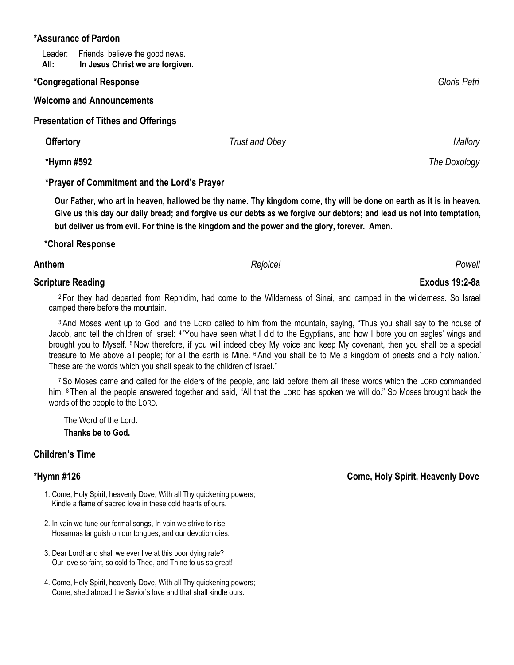### **\*Assurance of Pardon**

Leader: Friends, believe the good news.  **All: In Jesus Christ we are forgiven.**

### **\*Congregational Response** *Gloria Patri*

**Welcome and Announcements**

**Presentation of Tithes and Offerings** 

 **Offertory** 2012 *Trust and Obey* **2012**  *Mallory Mallory Mallory* 

 **\*Hymn #592** *The Doxology*

## **\*Prayer of Commitment and the Lord's Prayer**

 **Our Father, who art in heaven, hallowed be thy name. Thy kingdom come, thy will be done on earth as it is in heaven. Give us this day our daily bread; and forgive us our debts as we forgive our debtors; and lead us not into temptation, but deliver us from evil. For thine is the kingdom and the power and the glory, forever. Amen.** 

## **\*Choral Response**

### **Anthem** *Rejoice! Powell*

# **Scripture Reading Exodus 19:2-8a**

<sup>2</sup> For they had departed from Rephidim, had come to the Wilderness of Sinai, and camped in the wilderness. So Israel camped there before the mountain.

<sup>3</sup> And Moses went up to God, and the LORD called to him from the mountain, saying, "Thus you shall say to the house of Jacob, and tell the children of Israel: <sup>4</sup> You have seen what I did to the Egyptians, and how I bore you on eagles' wings and brought you to Myself. <sup>5</sup> Now therefore, if you will indeed obey My voice and keep My covenant, then you shall be a special treasure to Me above all people; for all the earth is Mine. <sup>6</sup> And you shall be to Me a kingdom of priests and a holy nation.' These are the words which you shall speak to the children of Israel."

<sup>7</sup> So Moses came and called for the elders of the people, and laid before them all these words which the LORD commanded him. <sup>8</sup> Then all the people answered together and said, "All that the LORD has spoken we will do." So Moses brought back the words of the people to the LORD.

 The Word of the Lord. **Thanks be to God.**

# **Children's Time**

- 1. Come, Holy Spirit, heavenly Dove, With all Thy quickening powers; Kindle a flame of sacred love in these cold hearts of ours.
- 2. In vain we tune our formal songs, In vain we strive to rise; Hosannas languish on our tongues, and our devotion dies.
- 3. Dear Lord! and shall we ever live at this poor dying rate? Our love so faint, so cold to Thee, and Thine to us so great!
- 4. Come, Holy Spirit, heavenly Dove, With all Thy quickening powers; Come, shed abroad the Savior's love and that shall kindle ours.

**\*Hymn #126 Come, Holy Spirit, Heavenly Dove**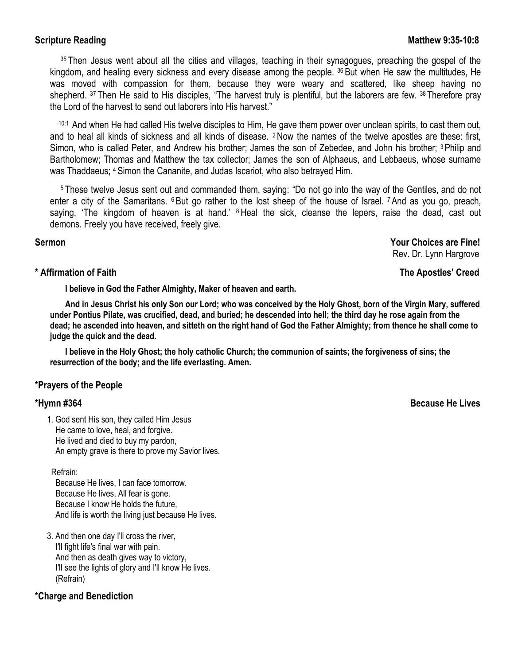**Scripture Reading Matthew 9:35-10:8 Matthew 9:35-10:8** 

<sup>35</sup> Then Jesus went about all the cities and villages, teaching in their synagogues, preaching the gospel of the kingdom, and healing every sickness and every disease among the people. <sup>36</sup> But when He saw the multitudes, He was moved with compassion for them, because they were weary and scattered, like sheep having no shepherd. <sup>37</sup> Then He said to His disciples, "The harvest truly is plentiful, but the laborers are few. <sup>38</sup> Therefore pray the Lord of the harvest to send out laborers into His harvest."

10:1 And when He had called His twelve disciples to Him, He gave them power over unclean spirits, to cast them out, and to heal all kinds of sickness and all kinds of disease. <sup>2</sup>Now the names of the twelve apostles are these: first, Simon, who is called Peter, and Andrew his brother; James the son of Zebedee, and John his brother; <sup>3</sup> Philip and Bartholomew; Thomas and Matthew the tax collector; James the son of Alphaeus, and Lebbaeus, whose surname was Thaddaeus; <sup>4</sup> Simon the Cananite, and Judas Iscariot, who also betrayed Him.

<sup>5</sup> These twelve Jesus sent out and commanded them, saying: "Do not go into the way of the Gentiles, and do not enter a city of the Samaritans.  $6$  But go rather to the lost sheep of the house of Israel.  $7$  And as you go, preach, saying, 'The kingdom of heaven is at hand.' <sup>8</sup> Heal the sick, cleanse the lepers, raise the dead, cast out demons. Freely you have received, freely give.

**Sermon Your Choices are Fine!** Rev. Dr. Lynn Hargrove

### **\* Affirmation of Faith The Apostles' Creed**

**I believe in God the Father Almighty, Maker of heaven and earth.**

**And in Jesus Christ his only Son our Lord; who was conceived by the Holy Ghost, born of the Virgin Mary, suffered under Pontius Pilate, was crucified, dead, and buried; he descended into hell; the third day he rose again from the dead; he ascended into heaven, and sitteth on the right hand of God the Father Almighty; from thence he shall come to judge the quick and the dead.**

**I believe in the Holy Ghost; the holy catholic Church; the communion of saints; the forgiveness of sins; the resurrection of the body; and the life everlasting. Amen.**

### **\*Prayers of the People**

1. God sent His son, they called Him Jesus He came to love, heal, and forgive. He lived and died to buy my pardon, An empty grave is there to prove my Savior lives.

Refrain:

 Because He lives, I can face tomorrow. Because He lives, All fear is gone. Because I know He holds the future, And life is worth the living just because He lives.

3. And then one day I'll cross the river, I'll fight life's final war with pain. And then as death gives way to victory, I'll see the lights of glory and I'll know He lives. (Refrain)

### **\*Charge and Benediction**

**\*Hymn #364 Because He Lives**